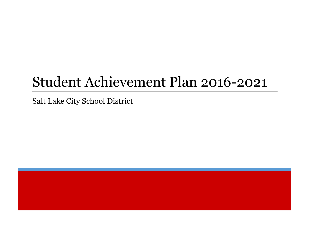Salt Lake City School District

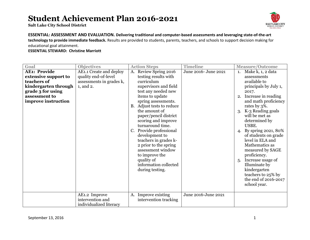**Salt Lake City School District**



**ESSENTIAL: ASSESSMENT AND EVALUATION. Delivering traditional and computer-based assessments and leveraging state-of-the-art technology to provide immediate feedback.** Results are provided to students, parents, teachers, and schools to support decision making for educational goal attainment.

| Goal                 | <b>Objectives</b>        | <b>Action Steps</b>       | <b>Timeline</b>      | <b>Measure/Outcome</b>    |
|----------------------|--------------------------|---------------------------|----------------------|---------------------------|
| <b>AE1: Provide</b>  | AE1.1 Create and deploy  | Review Spring 2016<br>A.  | June 2016- June 2021 | Make k, 1, 2 data<br>1.   |
| extensive support to | quality end-of-level     | testing results with      |                      | assessments               |
| teachers of          | assessments in grades k, | curriculum                |                      | available to              |
| kindergarten through | 1, and 2.                | supervisors and field     |                      | principals by July 1,     |
| grade 3 for using    |                          | test any needed new       |                      | 2017.                     |
| assessment to        |                          | items to update           |                      | Increase in reading<br>2. |
| improve instruction  |                          | spring assessments.       |                      | and math proficiency      |
|                      |                          | B. Adjust tests to reduce |                      | rates by 3%.              |
|                      |                          | the amount of             |                      | K-3 Reading goals<br>3.   |
|                      |                          | paper/pencil district     |                      | will be met as            |
|                      |                          | scoring and improve       |                      | determined by             |
|                      |                          | turnaround time.          |                      | USBE.                     |
|                      |                          | Provide professional      |                      | By spring 2021, 80%<br>4. |
|                      |                          | development to            |                      | of students on grade      |
|                      |                          | teachers in grades k-     |                      | level in ELA and          |
|                      |                          | 2 prior to the spring     |                      | Mathematics as            |
|                      |                          | assessment window         |                      | measured by SAGE          |
|                      |                          | to improve the            |                      | proficiency.              |
|                      |                          | quality of                |                      | Increase usage of<br>5.   |
|                      |                          | information collected     |                      | Illuminate by             |
|                      |                          | during testing.           |                      | kindergarten              |
|                      |                          |                           |                      | teachers to 25% by        |
|                      |                          |                           |                      | the end of 2016-2017      |
|                      |                          |                           |                      | school year.              |
|                      |                          |                           |                      |                           |
|                      | AE1.2 Improve            | Improve existing<br>A.    | June 2016-June 2021  |                           |
|                      | intervention and         | intervention tracking     |                      |                           |
|                      | individualized literacy  |                           |                      |                           |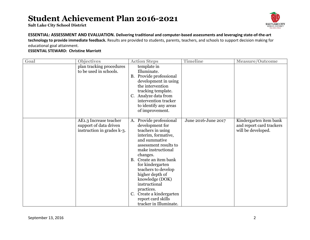**Salt Lake City School District**



#### **ESSENTIAL: ASSESSMENT AND EVALUATION. Delivering traditional and computer-based assessments and leveraging state-of-the-art technology to provide immediate feedback.** Results are provided to students, parents, teachers, and schools to support decision making for

educational goal attainment.

| Goal | <b>Objectives</b>                                                              | <b>Action Steps</b>                                                                                                                                                                                                                                                                                                                                                                                      | <b>Timeline</b>     | <b>Measure/Outcome</b>                                                   |
|------|--------------------------------------------------------------------------------|----------------------------------------------------------------------------------------------------------------------------------------------------------------------------------------------------------------------------------------------------------------------------------------------------------------------------------------------------------------------------------------------------------|---------------------|--------------------------------------------------------------------------|
|      | plan tracking procedures<br>to be used in schools.                             | template in<br>Illuminate.<br>B. Provide professional<br>development in using<br>the intervention<br>tracking template.<br>Analyze data from<br>$C_{\cdot}$<br>intervention tracker<br>to identify any areas<br>of improvement.                                                                                                                                                                          |                     |                                                                          |
|      | AE1.3 Increase teacher<br>support of data driven<br>instruction in grades k-3. | Provide professional<br>A.<br>development for<br>teachers in using<br>interim, formative,<br>and summative<br>assessment results to<br>make instructional<br>changes.<br>Create an item bank<br><b>B.</b><br>for kindergarten<br>teachers to develop<br>higher depth of<br>knowledge (DOK)<br>instructional<br>practices.<br>Create a kindergarten<br>C.<br>report card skills<br>tracker in Illuminate. | June 2016-June 2017 | Kindergarten item bank<br>and report card trackers<br>will be developed. |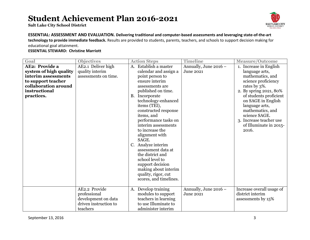**Salt Lake City School District**



#### **ESSENTIAL: ASSESSMENT AND EVALUATION. Delivering traditional and computer-based assessments and leveraging state-of-the-art technology to provide immediate feedback.** Results are provided to students, parents, teachers, and schools to support decision making for

educational goal attainment.

| Goal                   | <b>Objectives</b>     |           | <b>Action Steps</b>                   | <b>Timeline</b>       | <b>Measure/Outcome</b>    |
|------------------------|-----------------------|-----------|---------------------------------------|-----------------------|---------------------------|
| <b>AE2: Provide a</b>  | AE2.1 Deliver high    |           | A. Establish a master                 | Annually, June 2016 - | 1. Increase in English    |
| system of high quality | quality interim       |           | calendar and assign a                 | <b>June 2021</b>      | language arts,            |
| interim assessments    | assessments on time.  |           | point person to                       |                       | mathematics, and          |
| to support teacher     |                       |           | ensure interim                        |                       | science proficiency       |
| collaboration around   |                       |           | assessments are                       |                       | rates by 3%.              |
| instructional          |                       |           | published on time.                    |                       | 2. By spring 2021, 80%    |
| practices.             |                       | <b>B.</b> | Incorporate                           |                       | of students proficient    |
|                        |                       |           | technology-enhanced                   |                       | on SAGE in English        |
|                        |                       |           | items (TEI),                          |                       | language arts,            |
|                        |                       |           | constructed response                  |                       | mathematics, and          |
|                        |                       |           | items, and                            |                       | science SAGE.             |
|                        |                       |           | performance tasks on                  |                       | 3. Increase teacher use   |
|                        |                       |           | interim assessments                   |                       | of Illuminate in 2015-    |
|                        |                       |           | to increase the                       |                       | 2016.                     |
|                        |                       |           | alignment with                        |                       |                           |
|                        |                       |           | SAGE.                                 |                       |                           |
|                        |                       |           | Analyze interim<br>assessment data at |                       |                           |
|                        |                       |           | the district and                      |                       |                           |
|                        |                       |           | school level to                       |                       |                           |
|                        |                       |           | support decision                      |                       |                           |
|                        |                       |           | making about interim                  |                       |                           |
|                        |                       |           | quality, rigor, cut                   |                       |                           |
|                        |                       |           | scores, and timelines.                |                       |                           |
|                        |                       |           |                                       |                       |                           |
|                        | AE2.2 Provide         | A.        | Develop training                      | Annually, June 2016 - | Increase overall usage of |
|                        | professional          |           | modules to support                    | <b>June 2021</b>      | district interim          |
|                        | development on data   |           | teachers in learning                  |                       | assessments by 15%        |
|                        | driven instruction to |           | to use Illuminate to                  |                       |                           |
|                        | teachers              |           | administer interim                    |                       |                           |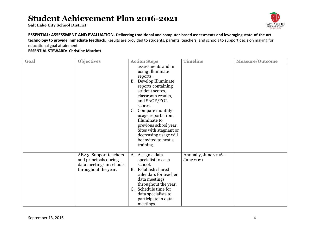**Salt Lake City School District**



#### **ESSENTIAL: ASSESSMENT AND EVALUATION. Delivering traditional and computer-based assessments and leveraging state-of-the-art**

**technology to provide immediate feedback.** Results are provided to students, parents, teachers, and schools to support decision making for educational goal attainment.

| Goal | <b>Objectives</b>                                                                                   | <b>Action Steps</b>                                                                                                                                                                                                                                                                                                                              | <b>Timeline</b>                    | <b>Measure/Outcome</b> |
|------|-----------------------------------------------------------------------------------------------------|--------------------------------------------------------------------------------------------------------------------------------------------------------------------------------------------------------------------------------------------------------------------------------------------------------------------------------------------------|------------------------------------|------------------------|
|      |                                                                                                     | assessments and in<br>using Illuminate<br>reports.<br>B. Develop Illuminate<br>reports containing<br>student scores,<br>classroom results,<br>and SAGE/EOL<br>scores.<br>Compare monthly<br>usage reports from<br>Illuminate to<br>previous school year.<br>Sites with stagnant or<br>decreasing usage will<br>be invited to host a<br>training. |                                    |                        |
|      | AE2.3 Support teachers<br>and principals during<br>data meetings in schools<br>throughout the year. | A. Assign a data<br>specialist to each<br>school.<br><b>B.</b> Establish shared<br>calendars for teacher<br>data meetings<br>throughout the year.<br>C. Schedule time for<br>data specialists to<br>participate in data<br>meetings.                                                                                                             | Annually, June 2016 -<br>June 2021 |                        |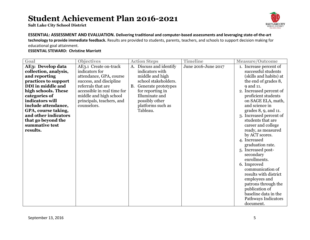**Salt Lake City School District**



**ESSENTIAL: ASSESSMENT AND EVALUATION. Delivering traditional and computer-based assessments and leveraging state-of-the-art technology to provide immediate feedback.** Results are provided to students, parents, teachers, and schools to support decision making for educational goal attainment.

| Goal                  | <b>Objectives</b>           | <b>Action Steps</b>              | <b>Timeline</b>     | <b>Measure/Outcome</b>     |
|-----------------------|-----------------------------|----------------------------------|---------------------|----------------------------|
| AE3: Develop data     | AE3.1 Create on-track       | Discuss and identify<br>A.       | June 2016-June 2017 | 1. Increase percent of     |
| collection, analysis, | indicators for              | indicators with                  |                     | successful students        |
| and reporting         | attendance, GPA, course     | middle and high                  |                     | (skills and habits) at     |
| practices to support  | success, and discipline     | school stakeholders.             |                     | the end of grades 8,       |
| DDI in middle and     | referrals that are          | Generate prototypes<br><b>B.</b> |                     | 9 and 11.                  |
| high schools. These   | accessible in real time for | for reporting in                 |                     | 2. Increased percent of    |
| categories of         | middle and high school      | Illuminate and                   |                     | proficient students        |
| indicators will       | principals, teachers, and   | possibly other                   |                     | on SAGE ELA, math,         |
| include attendance,   | counselors.                 | platforms such as                |                     | and science in             |
| GPA, course taking,   |                             | Tableau.                         |                     | grades $8, 9$ , and $11$ . |
| and other indicators  |                             |                                  |                     | 3. Increased percent of    |
| that go beyond the    |                             |                                  |                     | students that are          |
| summative test        |                             |                                  |                     | career and college         |
| results.              |                             |                                  |                     | ready, as measured         |
|                       |                             |                                  |                     | by ACT scores.             |
|                       |                             |                                  |                     | 4. Increased               |
|                       |                             |                                  |                     | graduation rate.           |
|                       |                             |                                  |                     | 5. Increased post-         |
|                       |                             |                                  |                     | secondary                  |
|                       |                             |                                  |                     | enrollments.               |
|                       |                             |                                  |                     | 6. Improved                |
|                       |                             |                                  |                     | communication of           |
|                       |                             |                                  |                     | results with district      |
|                       |                             |                                  |                     | employees and              |
|                       |                             |                                  |                     | patrons through the        |
|                       |                             |                                  |                     | publication of             |
|                       |                             |                                  |                     | baseline data in the       |
|                       |                             |                                  |                     | Pathways Indicators        |
|                       |                             |                                  |                     | document.                  |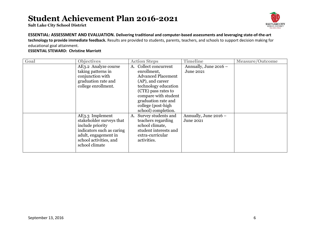**Salt Lake City School District**



#### **ESSENTIAL: ASSESSMENT AND EVALUATION. Delivering traditional and computer-based assessments and leveraging state-of-the-art technology to provide immediate feedback.** Results are provided to students, parents, teachers, and schools to support decision making for educational goal attainment.

| Goal | <b>Objectives</b>         | <b>Action Steps</b>       | <b>Timeline</b>       | <b>Measure/Outcome</b> |
|------|---------------------------|---------------------------|-----------------------|------------------------|
|      | AE3.2 Analyze course      | Collect concurrent<br>A.  | Annually, June 2016 - |                        |
|      | taking patterns in        | enrollment,               | June 2021             |                        |
|      | conjunction with          | <b>Advanced Placement</b> |                       |                        |
|      | graduation rate and       | (AP), and career          |                       |                        |
|      | college enrollment.       | technology education      |                       |                        |
|      |                           | (CTE) pass rates to       |                       |                        |
|      |                           | compare with student      |                       |                        |
|      |                           | graduation rate and       |                       |                        |
|      |                           | college (post-high        |                       |                        |
|      |                           | school) completion.       |                       |                        |
|      | AE3.3 Implement           | Survey students and<br>A. | Annually, June 2016 - |                        |
|      | stakeholder surveys that  | teachers regarding        | <b>June 2021</b>      |                        |
|      | include priority          | school climate,           |                       |                        |
|      | indicators such as caring | student interests and     |                       |                        |
|      | adult, engagement in      | extra-curricular          |                       |                        |
|      | school activities, and    | activities.               |                       |                        |
|      | school climate            |                           |                       |                        |
|      |                           |                           |                       |                        |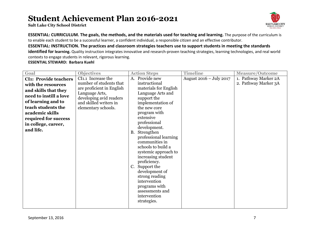**Salt Lake City School District**



**ESSENTIAL: CURRICULUM. The goals, the methods, and the materials used for teaching and learning.** The purpose of the curriculum is to enable each student to be a successful learner, a confident individual, a responsible citizen and an effective contributor.

**ESSENTIAL: INSTRUCTION. The practices and classroom strategies teachers use to support students in meeting the standards** 

**identified for learning.** Quality instruction integrates innovative and research-proven teaching strategies, learning technologies, and real world contexts to engage students in relevant, rigorous learning.

| Goal                         | <b>Objectives</b>         | <b>Action Steps</b>                | <b>Timeline</b>         | <b>Measure/Outcome</b> |
|------------------------------|---------------------------|------------------------------------|-------------------------|------------------------|
| <b>CI1: Provide teachers</b> | CI1.1 Increase the        | Provide new<br>A.                  | August 2016 - July 2017 | 1. Pathway Marker 2A   |
| with the resources           | number of students that   | instructional                      |                         | 2. Pathway Marker 3A   |
| and skills that they         | are proficient in English | materials for English              |                         |                        |
| need to instill a love       | Language Arts,            | Language Arts and                  |                         |                        |
|                              | developing avid readers   | support the                        |                         |                        |
| of learning and to           | and skilled writers in    | implementation of                  |                         |                        |
| teach students the           | elementary schools.       | the new core                       |                         |                        |
| academic skills              |                           | program with                       |                         |                        |
| required for success         |                           | extensive                          |                         |                        |
| in college, career,          |                           | professional                       |                         |                        |
| and life.                    |                           | development.                       |                         |                        |
|                              |                           | B. Strengthen                      |                         |                        |
|                              |                           | professional learning              |                         |                        |
|                              |                           | communities in                     |                         |                        |
|                              |                           | schools to build a                 |                         |                        |
|                              |                           | systemic approach to               |                         |                        |
|                              |                           | increasing student<br>proficiency. |                         |                        |
|                              |                           | C. Support the                     |                         |                        |
|                              |                           | development of                     |                         |                        |
|                              |                           | strong reading                     |                         |                        |
|                              |                           | intervention                       |                         |                        |
|                              |                           | programs with                      |                         |                        |
|                              |                           | assessments and                    |                         |                        |
|                              |                           | intervention                       |                         |                        |
|                              |                           | strategies.                        |                         |                        |
|                              |                           |                                    |                         |                        |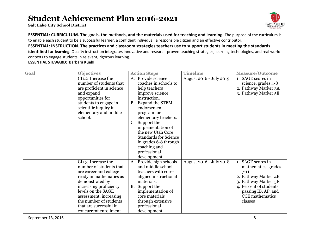**Salt Lake City School District**



**ESSENTIAL: CURRICULUM. The goals, the methods, and the materials used for teaching and learning.** The purpose of the curriculum is to enable each student to be a successful learner, a confident individual, a responsible citizen and an effective contributor.

**ESSENTIAL: INSTRUCTION. The practices and classroom strategies teachers use to support students in meeting the standards identified for learning.** Quality instruction integrates innovative and research-proven teaching strategies, learning technologies, and real world contexts to engage students in relevant, rigorous learning.

| Goal | <b>Objectives</b>                                                                                                                                                                                                                                                            |           | <b>Action Steps</b>                                                                                                                                                                                                                                                                                                                           | <b>Timeline</b>         | <b>Measure/Outcome</b>                                                                                                                                                                     |
|------|------------------------------------------------------------------------------------------------------------------------------------------------------------------------------------------------------------------------------------------------------------------------------|-----------|-----------------------------------------------------------------------------------------------------------------------------------------------------------------------------------------------------------------------------------------------------------------------------------------------------------------------------------------------|-------------------------|--------------------------------------------------------------------------------------------------------------------------------------------------------------------------------------------|
|      | CI1.2 Increase the<br>number of students that<br>are proficient in science<br>and expand<br>opportunities for<br>students to engage in<br>scientific inquiry in<br>elementary and middle<br>school.                                                                          | C.        | A. Provide science<br>coaches in schools to<br>help teachers<br>improve science<br>instruction.<br>B. Expand the STEM<br>endorsement<br>program for<br>elementary teachers.<br>Support the<br>implementation of<br>the new Utah Core<br><b>Standards for Science</b><br>in grades 6-8 through<br>coaching and<br>professional<br>development. | August 2016 - July 2019 | 1. SAGE scores in<br>science, grades 4-8<br>2. Pathway Marker 3A<br>3. Pathway Marker 5E                                                                                                   |
|      | CI1.3 Increase the<br>number of students that<br>are career and college<br>ready in mathematics as<br>demonstrated by<br>increasing proficiency<br>levels on the SAGE<br>assessment, increasing<br>the number of students<br>that are successful in<br>concurrent enrollment | <b>B.</b> | A. Provide high schools<br>and middle school<br>teachers with core-<br>aligned instructional<br>materials.<br>Support the<br>implementation of<br>core materials<br>through extensive<br>professional<br>development.                                                                                                                         | August 2016 - July 2018 | 1. SAGE scores in<br>mathematics, grades<br>$7 - 11$<br>2. Pathway Marker 4B<br>3. Pathway Marker 5E<br>4. Percent of students<br>passing IB, AP, and<br><b>CCE</b> mathematics<br>classes |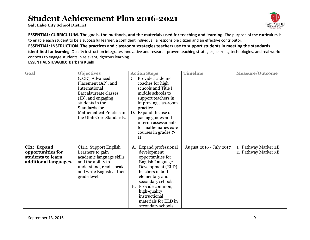**Salt Lake City School District**



**ESSENTIAL: CURRICULUM. The goals, the methods, and the materials used for teaching and learning.** The purpose of the curriculum is to enable each student to be a successful learner, a confident individual, a responsible citizen and an effective contributor.

**ESSENTIAL: INSTRUCTION. The practices and classroom strategies teachers use to support students in meeting the standards** 

**identified for learning.** Quality instruction integrates innovative and research-proven teaching strategies, learning technologies, and real world contexts to engage students in relevant, rigorous learning.

| Goal                                                                           | <b>Objectives</b>                                                                                                                                                                                         | <b>Action Steps</b>                                                                                                                                                                                                                                                                      | <b>Timeline</b>         | <b>Measure/Outcome</b>                       |
|--------------------------------------------------------------------------------|-----------------------------------------------------------------------------------------------------------------------------------------------------------------------------------------------------------|------------------------------------------------------------------------------------------------------------------------------------------------------------------------------------------------------------------------------------------------------------------------------------------|-------------------------|----------------------------------------------|
|                                                                                | (CCE), Advanced<br>Placement (AP), and<br>International<br><b>Baccalaureate classes</b><br>(IB), and engaging<br>students in the<br>Standards for<br>Mathematical Practice in<br>the Utah Core Standards. | Provide academic<br>$C_{\cdot}$<br>coaches for high<br>schools and Title I<br>middle schools to<br>support teachers in<br>improving classroom<br>practice.<br>Expand the use of<br>D.<br>pacing guides and<br>interim assessments<br>for mathematics core<br>courses in grades 7-<br>11. |                         |                                              |
| CI2: Expand<br>opportunities for<br>students to learn<br>additional languages. | CI2.1 Support English<br>Learners to gain<br>academic language skills<br>and the ability to<br>understand, read, speak,<br>and write English at their<br>grade level.                                     | <b>Expand professional</b><br>A.<br>development<br>opportunities for<br>English Language<br>Development (ELD)<br>teachers in both<br>elementary and<br>secondary schools.<br>Provide common,<br><b>B.</b><br>high-quality<br>instructional<br>materials for ELD in<br>secondary schools. | August 2016 - July 2017 | 1. Pathway Marker 2B<br>2. Pathway Marker 3B |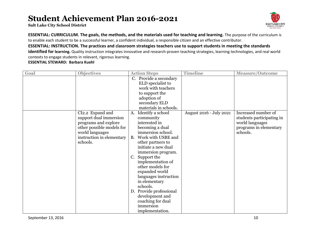**Salt Lake City School District**



**ESSENTIAL: CURRICULUM. The goals, the methods, and the materials used for teaching and learning.** The purpose of the curriculum is to enable each student to be a successful learner, a confident individual, a responsible citizen and an effective contributor.

**ESSENTIAL: INSTRUCTION. The practices and classroom strategies teachers use to support students in meeting the standards identified for learning.** Quality instruction integrates innovative and research-proven teaching strategies, learning technologies, and real world contexts to engage students in relevant, rigorous learning.

| Goal | <b>Objectives</b>                                                                                                                                           | <b>Action Steps</b>                                                                                                                                                                                                                                                                                                                                                                                                                           | <b>Timeline</b>         | <b>Measure/Outcome</b>                                                                                    |
|------|-------------------------------------------------------------------------------------------------------------------------------------------------------------|-----------------------------------------------------------------------------------------------------------------------------------------------------------------------------------------------------------------------------------------------------------------------------------------------------------------------------------------------------------------------------------------------------------------------------------------------|-------------------------|-----------------------------------------------------------------------------------------------------------|
|      |                                                                                                                                                             | C. Provide a secondary<br>ELD specialist to<br>work with teachers<br>to support the<br>adoption of<br>secondary ELD<br>materials in schools.                                                                                                                                                                                                                                                                                                  |                         |                                                                                                           |
|      | CI2.2 Expand and<br>support dual immersion<br>programs and explore<br>other possible models for<br>world languages<br>instruction in elementary<br>schools. | Identify a school<br>A.<br>community<br>interested in<br>becoming a dual<br>immersion school.<br>Work with USBE and<br>B.<br>other partners to<br>initiate a new dual<br>immersion program.<br>Support the<br>$C_{\cdot}$<br>implementation of<br>other models for<br>expanded world<br>languages instruction<br>in elementary<br>schools.<br>D. Provide professional<br>development and<br>coaching for dual<br>immersion<br>implementation. | August 2016 - July 2021 | Increased number of<br>students participating in<br>world languages<br>programs in elementary<br>schools. |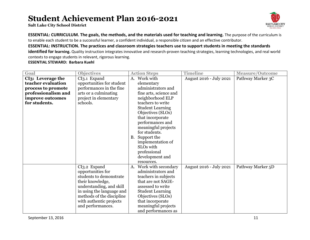**Salt Lake City School District**



**ESSENTIAL: CURRICULUM. The goals, the methods, and the materials used for teaching and learning.** The purpose of the curriculum is to enable each student to be a successful learner, a confident individual, a responsible citizen and an effective contributor.

**ESSENTIAL: INSTRUCTION. The practices and classroom strategies teachers use to support students in meeting the standards** 

**identified for learning.** Quality instruction integrates innovative and research-proven teaching strategies, learning technologies, and real world contexts to engage students in relevant, rigorous learning.

| Goal                | <b>Objectives</b>         |           | <b>Action Steps</b>     | <b>Timeline</b>         | <b>Measure/Outcome</b> |
|---------------------|---------------------------|-----------|-------------------------|-------------------------|------------------------|
| CI3: Leverage the   | CI3.1 Expand              | A.        | Work with               | August 2016 - July 2021 | Pathway Marker 3C      |
| teacher evaluation  | opportunities for student |           | elementary              |                         |                        |
| process to promote  | performances in the fine  |           | administrators and      |                         |                        |
| professionalism and | arts or a culminating     |           | fine arts, science and  |                         |                        |
| improve outcomes    | project in elementary     |           | neighborhood ELP        |                         |                        |
| for students.       | schools.                  |           | teachers to write       |                         |                        |
|                     |                           |           | <b>Student Learning</b> |                         |                        |
|                     |                           |           | Objectives (SLOs)       |                         |                        |
|                     |                           |           | that incorporate        |                         |                        |
|                     |                           |           | performances and        |                         |                        |
|                     |                           |           | meaningful projects     |                         |                        |
|                     |                           |           | for students.           |                         |                        |
|                     |                           | <b>B.</b> | Support the             |                         |                        |
|                     |                           |           | implementation of       |                         |                        |
|                     |                           |           | SLO <sub>s</sub> with   |                         |                        |
|                     |                           |           | professional            |                         |                        |
|                     |                           |           | development and         |                         |                        |
|                     |                           |           | resources.              |                         |                        |
|                     | CI3.2 Expand              | A.        | Work with secondary     | August 2016 - July 2021 | Pathway Marker 5D      |
|                     | opportunities for         |           | administrators and      |                         |                        |
|                     | students to demonstrate   |           | teachers in subjects    |                         |                        |
|                     | their knowledge,          |           | that are not SAGE-      |                         |                        |
|                     | understanding, and skill  |           | assessed to write       |                         |                        |
|                     | in using the language and |           | <b>Student Learning</b> |                         |                        |
|                     | methods of the discipline |           | Objectives (SLOs)       |                         |                        |
|                     | with authentic projects   |           | that incorporate        |                         |                        |
|                     | and performances.         |           | meaningful projects     |                         |                        |
|                     |                           |           | and performances as     |                         |                        |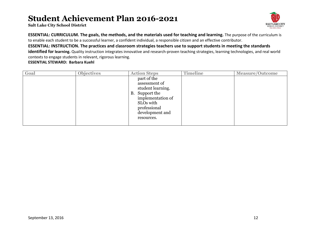**Salt Lake City School District**



**ESSENTIAL: CURRICULUM. The goals, the methods, and the materials used for teaching and learning.** The purpose of the curriculum is to enable each student to be a successful learner, a confident individual, a responsible citizen and an effective contributor.

**ESSENTIAL: INSTRUCTION. The practices and classroom strategies teachers use to support students in meeting the standards** 

**identified for learning.** Quality instruction integrates innovative and research-proven teaching strategies, learning technologies, and real world contexts to engage students in relevant, rigorous learning.

| Goal | <b>Objectives</b> | <b>Action Steps</b>                                                                                                                                    | <b>Timeline</b> | <b>Measure/Outcome</b> |
|------|-------------------|--------------------------------------------------------------------------------------------------------------------------------------------------------|-----------------|------------------------|
|      |                   | part of the<br>assessment of<br>student learning.<br>B. Support the<br>implementation of<br>SLOs with<br>professional<br>development and<br>resources. |                 |                        |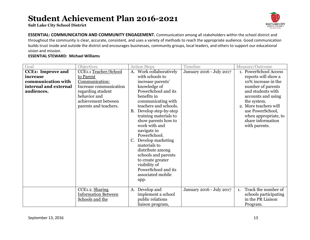**Salt Lake City School District**



**ESSENTIAL: COMMUNICATION AND COMMUNITY ENGAGEMENT.** Communication among all stakeholders within the school district and throughout the community is clear, accurate, consistent, and uses a variety of methods to reach the appropriate audience. Good communication builds trust inside and outside the district and encourages businesses, community groups, local leaders, and others to support our educational vision and mission.

| Goal                     | Objectives                 | <b>Action Steps</b>                | Timeline                 | Measure/Outcome                       |
|--------------------------|----------------------------|------------------------------------|--------------------------|---------------------------------------|
| <b>CCE1: Improve and</b> | CCE1.1 Teacher/School      | Work collaboratively<br>A.         | January 2016 - July 2017 | 1. PowerSchool Access                 |
| increase                 | to Parent                  | with schools to                    |                          | reports will show a                   |
| communication with       | Communication:             | increase parents'                  |                          | 10% increase in the                   |
| internal and external    | Increase communication     | knowledge of                       |                          | number of parents                     |
| audiences.               | regarding student          | PowerSchool and its                |                          | and students with                     |
|                          | behavior and               | benefits in                        |                          | accounts and using                    |
|                          | achievement between        | communicating with                 |                          | the system.                           |
|                          | parents and teachers.      | teachers and schools.              |                          | 2. More teachers will                 |
|                          |                            | <b>B.</b><br>Develop step-by-step  |                          | use PowerSchool,                      |
|                          |                            | training materials to              |                          | when appropriate, to                  |
|                          |                            | show parents how to                |                          | share information                     |
|                          |                            | work with and                      |                          | with parents.                         |
|                          |                            | navigate in                        |                          |                                       |
|                          |                            | PowerSchool.                       |                          |                                       |
|                          |                            | Develop marketing                  |                          |                                       |
|                          |                            | materials to                       |                          |                                       |
|                          |                            | distribute among                   |                          |                                       |
|                          |                            | schools and parents                |                          |                                       |
|                          |                            | to create greater<br>visibility of |                          |                                       |
|                          |                            | PowerSchool and its                |                          |                                       |
|                          |                            | associated mobile                  |                          |                                       |
|                          |                            |                                    |                          |                                       |
|                          |                            | app.                               |                          |                                       |
|                          | CCE1.2 Sharing             | Develop and<br>A.                  | January 2016 - July 2017 | Track the number of<br>$\mathbf{1}$ . |
|                          | <b>Information Between</b> | implement a school                 |                          | schools participating                 |
|                          | Schools and the            | public relations                   |                          | in the PR Liaison                     |
|                          |                            | liaison program,                   |                          | Program.                              |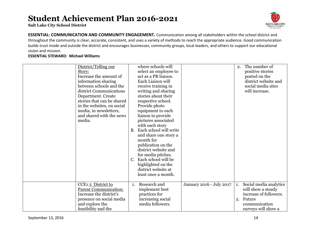**Salt Lake City School District**



**ESSENTIAL: COMMUNICATION AND COMMUNITY ENGAGEMENT.** Communication among all stakeholders within the school district and throughout the community is clear, accurate, consistent, and uses a variety of methods to reach the appropriate audience. Good communication builds trust inside and outside the district and encourages businesses, community groups, local leaders, and others to support our educational vision and mission.

| District/Telling our<br>Story:<br>Increase the amount of<br>information sharing<br>between schools and the<br>district Communications<br>Department. Create<br>stories that can be shared<br>in the websites, on social<br>media, in newsletters,<br>and shared with the news<br>media. |                | where schools will<br>select an employee to<br>act as a PR liaison.<br>Each Liaison will<br>receive training in<br>writing and sharing<br>stories about their<br>respective school.<br>Provide photo<br>equipment to each<br>liaison to provide<br>pictures associated<br>with each story<br>B. Each school will write<br>and share one story a<br>month for<br>publication on the<br>district website and<br>for media pitches.<br>C. Each school will be<br>highlighted on the<br>district website at |                          | 2.       | The number of<br>positive stories<br>posted on the<br>district website and<br>social media sites<br>will increase.       |
|-----------------------------------------------------------------------------------------------------------------------------------------------------------------------------------------------------------------------------------------------------------------------------------------|----------------|---------------------------------------------------------------------------------------------------------------------------------------------------------------------------------------------------------------------------------------------------------------------------------------------------------------------------------------------------------------------------------------------------------------------------------------------------------------------------------------------------------|--------------------------|----------|--------------------------------------------------------------------------------------------------------------------------|
|                                                                                                                                                                                                                                                                                         |                | least once a month.                                                                                                                                                                                                                                                                                                                                                                                                                                                                                     |                          |          |                                                                                                                          |
| CCE1.3 District to<br><b>Parent Communication:</b><br>Increase the district's<br>presence on social media<br>and explore the<br>feasibility and the                                                                                                                                     | $\mathbf{1}$ . | Research and<br>implement best<br>practices for<br>increasing social<br>media followers.                                                                                                                                                                                                                                                                                                                                                                                                                | January 2016 - July 2017 | 1.<br>2. | Social media analytics<br>will show a steady<br>increase of followers.<br>Future<br>communication<br>surveys will show a |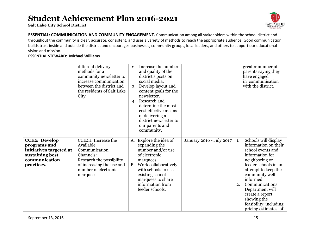**Salt Lake City School District**



**ESSENTIAL: COMMUNICATION AND COMMUNITY ENGAGEMENT.** Communication among all stakeholders within the school district and throughout the community is clear, accurate, consistent, and uses a variety of methods to reach the appropriate audience. Good communication builds trust inside and outside the district and encourages businesses, community groups, local leaders, and others to support our educational vision and mission.

|                                                                                                                   | different delivery<br>methods for a<br>community newsletter to<br>increase communication<br>between the district and<br>the residents of Salt Lake<br>City.  | 2.<br>3.<br>4.  | Increase the number<br>and quality of the<br>district's posts on<br>social media.<br>Develop layout and<br>content goals for the<br>newsletter.<br>Research and<br>determine the most<br>cost effective means<br>of delivering a<br>district newsletter to<br>our parents and<br>community. |                          |          | greater number of<br>parents saying they<br>have engaged<br>in communication<br>with the district.                                                                                                                                                                                                             |
|-------------------------------------------------------------------------------------------------------------------|--------------------------------------------------------------------------------------------------------------------------------------------------------------|-----------------|---------------------------------------------------------------------------------------------------------------------------------------------------------------------------------------------------------------------------------------------------------------------------------------------|--------------------------|----------|----------------------------------------------------------------------------------------------------------------------------------------------------------------------------------------------------------------------------------------------------------------------------------------------------------------|
| <b>CCE2: Develop</b><br>programs and<br>initiatives targeted at<br>sustaining best<br>communication<br>practices. | CCE2.1 Increase the<br>Available<br>Communication<br>Channels:<br>Research the possibility<br>of increasing the use and<br>number of electronic<br>marquees. | A.<br><b>B.</b> | Explore the idea of<br>expanding the<br>number and/or use<br>of electronic<br>marquees.<br>Work collaboratively<br>with schools to use<br>existing school<br>marquees to share<br>information from<br>feeder schools.                                                                       | January 2016 - July 2017 | 1.<br>2. | Schools will display<br>information on their<br>school events and<br>information for<br>neighboring or<br>feeder schools in an<br>attempt to keep the<br>community well<br>informed.<br>Communications<br>Department will<br>create a report<br>showing the<br>feasibility, including<br>pricing estimates, of |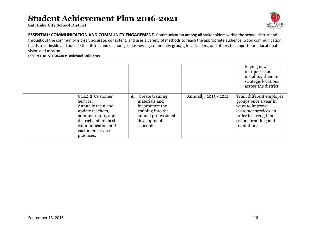**Salt Lake City School District**



**ESSENTIAL: COMMUNICATION AND COMMUNITY ENGAGEMENT.** Communication among all stakeholders within the school district and throughout the community is clear, accurate, consistent, and uses a variety of methods to reach the appropriate audience. Good communication builds trust inside and outside the district and encourages businesses, community groups, local leaders, and others to support our educational vision and mission.

|                                                                                                                                                                               |                                                                                                                                   |                       | buying new<br>marquees and<br>installing them in<br>strategic locations<br>across the district.                                                             |
|-------------------------------------------------------------------------------------------------------------------------------------------------------------------------------|-----------------------------------------------------------------------------------------------------------------------------------|-----------------------|-------------------------------------------------------------------------------------------------------------------------------------------------------------|
| CCE2.2 Customer<br>Service:<br>Annually train and<br>update teachers,<br>administrators, and<br>district staff on best<br>communication and<br>customer service<br>practices. | Create training<br>A.<br>materials and<br>incorporate the<br>training into the<br>annual professional<br>development<br>schedule. | Annually, 2015 - 2021 | Train different employee<br>groups once a year in<br>ways to improve<br>customer services, in<br>order to strengthen<br>school branding and<br>reputations. |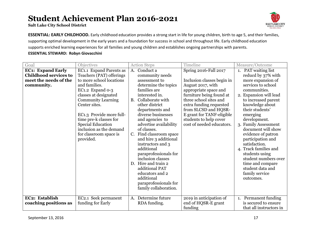**Salt Lake City School District**



**ESSENTIAL: EARLY CHILDHOOD.** Early childhood education provides a strong start in life for young children, birth to age 5, and their families, supporting optimal development in the early years and a foundation for success in school and throughout life. Early childhood education supports enriched learning experiences for all families and young children and establishes ongoing partnerships with parents.

| Goal                                                                                            | Objectives                                                                                                                                                                                                                                                                                                                                      |                       | <b>Action Steps</b>                                                                                                                                                                                                                                                                                                                                                                                                                                                                                              | Timeline                                                                                                                                                                                                                                                                                       | Measure/Outcome                                                                                                                                                                                                                                                                                                                                                                                                                                                             |
|-------------------------------------------------------------------------------------------------|-------------------------------------------------------------------------------------------------------------------------------------------------------------------------------------------------------------------------------------------------------------------------------------------------------------------------------------------------|-----------------------|------------------------------------------------------------------------------------------------------------------------------------------------------------------------------------------------------------------------------------------------------------------------------------------------------------------------------------------------------------------------------------------------------------------------------------------------------------------------------------------------------------------|------------------------------------------------------------------------------------------------------------------------------------------------------------------------------------------------------------------------------------------------------------------------------------------------|-----------------------------------------------------------------------------------------------------------------------------------------------------------------------------------------------------------------------------------------------------------------------------------------------------------------------------------------------------------------------------------------------------------------------------------------------------------------------------|
| <b>EC1: Expand Early</b><br><b>Childhood services to</b><br>meet the needs of the<br>community. | EC1.1 Expand Parents as<br>Teachers (PAT) offerings<br>to more school locations<br>and families.<br>EC1.2 Expand 0-3<br>classes at designated<br><b>Community Learning</b><br>Center sites.<br>EC1.3 Provide more full-<br>time pre-k classes for<br><b>Special Education</b><br>inclusion as the demand<br>for classroom space is<br>provided. | A.<br><b>B.</b><br>D. | Conduct a<br>community needs<br>assessment to<br>determine the topics<br>families are<br>interested in.<br>Collaborate with<br>other district<br>departments and<br>diverse businesses<br>and agencies to<br>advertise availability<br>of classes.<br>C. Find classroom space<br>and hire 3 additional<br>instructors and 3<br>additional<br>paraprofessionals for<br>inclusion classes<br>Hire and train 2<br>additional PAT<br>educators and 2<br>additional<br>paraprofessionals for<br>family collaboration. | Spring 2016-Fall 2017<br>Inclusion classes begin in<br>August 2017, with<br>appropriate space and<br>furniture being found at<br>three school sites and<br>extra funding requested<br>from SLCSD and HQSR-<br>E grant for TANF-eligible<br>students to help cover<br>cost of needed educators. | 1. PAT waiting list<br>reducd by 37% with<br>more expansion of<br>services to school<br>communities.<br>2. Expansion will lead<br>to increased parent<br>knowledge about<br>their students'<br>emerging<br>development.<br>3. Family Assessment<br>document will show<br>evidence of patron<br>participation and<br>satisfaction.<br>4. Track families and<br>students using<br>student numbers over<br>time and compare<br>student data and<br>family service<br>outcomes. |
| EC2: Establish<br>coaching positions as                                                         | EC2.1 Seek permanent<br>funding for Early                                                                                                                                                                                                                                                                                                       | A.                    | Determine future<br>RDA funding.                                                                                                                                                                                                                                                                                                                                                                                                                                                                                 | 2019 in anticipation of<br>end of HQSR-E grant<br>funding                                                                                                                                                                                                                                      | 1. Permanent funding<br>is secured to ensure<br>that all instructors in                                                                                                                                                                                                                                                                                                                                                                                                     |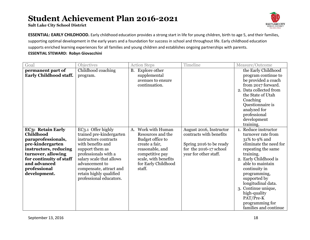**Salt Lake City School District**



**ESSENTIAL: EARLY CHILDHOOD.** Early childhood education provides a strong start in life for young children, birth to age 5, and their families, supporting optimal development in the early years and a foundation for success in school and throughout life. Early childhood education supports enriched learning experiences for all families and young children and establishes ongoing partnerships with parents.

| Goal                                                                                                                                                                          | Objectives                                                                                                                                                                                                                                       | <b>Action Steps</b>                                                                                                                                    | Timeline                                                                                              | Measure/Outcome                                                                                                                                                                                                                                                                                                      |
|-------------------------------------------------------------------------------------------------------------------------------------------------------------------------------|--------------------------------------------------------------------------------------------------------------------------------------------------------------------------------------------------------------------------------------------------|--------------------------------------------------------------------------------------------------------------------------------------------------------|-------------------------------------------------------------------------------------------------------|----------------------------------------------------------------------------------------------------------------------------------------------------------------------------------------------------------------------------------------------------------------------------------------------------------------------|
| permanent part of<br><b>Early Childhood staff.</b><br>EC3: Retain Early                                                                                                       | Childhood coaching<br>program.<br>EC3.1 Offer highly                                                                                                                                                                                             | <b>Explore other</b><br><b>B.</b><br>supplemental<br>avenues to ensure<br>continuation.<br>Work with Human<br>A.                                       | August 2016, Instructor                                                                               | the Early Childhood<br>program continue to<br>be provided a coach<br>from 2017 forward.<br>2. Data collected from<br>the State of Utah<br>Coaching<br>Questionnaire is<br>analyzed for<br>professional<br>development<br>training.<br>1. Reduce instructor                                                           |
| Childhood<br>paraprofessionals,<br>pre-kindergarten<br>instructors, reducing<br>turnover, allowing<br>for continuity of staff<br>and advanced<br>professional<br>development. | trained pre-kindergarten<br>instructors contracts<br>with benefits and<br>support them as<br>professionals with a<br>salary scale that allows<br>advancement to<br>compensate, attract and<br>retain highly qualified<br>professional educators. | Resources and the<br>Budget office to<br>create a fair,<br>reasonable, and<br>competitive pay<br>scale, with benefits<br>for Early Childhood<br>staff. | contracts with benefits<br>Spring 2016 to be ready<br>for the 2016-17 school<br>year for other staff. | turnover rate from<br>31% to 9% and<br>eliminate the need for<br>repeating the same<br>training.<br>2. Early Childhood is<br>able to maintain<br>continuity in<br>programming,<br>supported by<br>longitudinal data.<br>3. Continue unique,<br>high-quality<br>PAT/Pre-K<br>programming for<br>families and continue |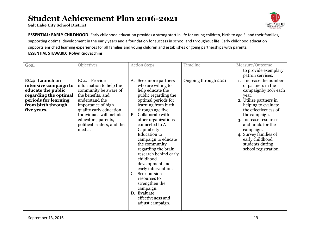**Salt Lake City School District**



**ESSENTIAL: EARLY CHILDHOOD.** Early childhood education provides a strong start in life for young children, birth to age 5, and their families, supporting optimal development in the early years and a foundation for success in school and throughout life. Early childhood education supports enriched learning experiences for all families and young children and establishes ongoing partnerships with parents.

| Goal                                                                                                                                                | Objectives                                                                                                                                                                                                                                            | <b>Action Steps</b>                                                                                                                                                                                                                                                                                                                                                                                                                                                                                                                                    | Timeline             | Measure/Outcome                                                                                                                                                                                                                                                                                                             |
|-----------------------------------------------------------------------------------------------------------------------------------------------------|-------------------------------------------------------------------------------------------------------------------------------------------------------------------------------------------------------------------------------------------------------|--------------------------------------------------------------------------------------------------------------------------------------------------------------------------------------------------------------------------------------------------------------------------------------------------------------------------------------------------------------------------------------------------------------------------------------------------------------------------------------------------------------------------------------------------------|----------------------|-----------------------------------------------------------------------------------------------------------------------------------------------------------------------------------------------------------------------------------------------------------------------------------------------------------------------------|
|                                                                                                                                                     |                                                                                                                                                                                                                                                       |                                                                                                                                                                                                                                                                                                                                                                                                                                                                                                                                                        |                      | to provide exemplary<br>patron services.                                                                                                                                                                                                                                                                                    |
| EC4: Launch an<br>intensive campaign to<br>educate the public<br>regarding the optimal<br>periods for learning<br>from birth through<br>five years. | EC4.1 Provide<br>information to help the<br>community be aware of<br>the benefits, and<br>understand the<br>importance of high<br>quality early education.<br>Individuals will include<br>educators, parents,<br>political leaders, and the<br>media. | A. Seek more partners<br>who are willing to<br>help educate the<br>public regarding the<br>optimal periods for<br>learning from birth<br>through age five.<br>B. Collaborate with<br>other organizations<br>connected to A<br>Capital city<br><b>Education</b> to<br>campaign to educate<br>the community<br>regarding the brain<br>research behind early<br>childhood<br>development and<br>early intervention.<br>Seek outside<br>$C_{\cdot}$<br>resources to<br>strengthen the<br>campaign.<br>D. Evaluate<br>effectiveness and<br>adjust campaign. | Ongoing through 2021 | Increase the number<br>1.<br>of partners in the<br>campaignby 10% each<br>year.<br>2. Utilize partners in<br>helping to evaluate<br>the effectiveness of<br>the campaign.<br>3. Increase resources<br>and funds for the<br>campaign.<br>4. Survey families of<br>early childhood<br>students during<br>school registration. |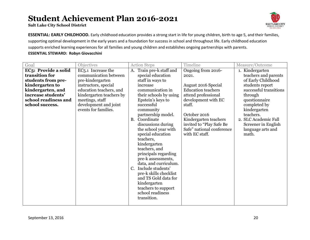**Salt Lake City School District**



**ESSENTIAL: EARLY CHILDHOOD.** Early childhood education provides a strong start in life for young children, birth to age 5, and their families, supporting optimal development in the early years and a foundation for success in school and throughout life. Early childhood education supports enriched learning experiences for all families and young children and establishes ongoing partnerships with parents.

| Goal                 | Objectives                      |             | <b>Action Steps</b>                        | Timeline                   | Measure/Outcome        |
|----------------------|---------------------------------|-------------|--------------------------------------------|----------------------------|------------------------|
| EC5: Provide a solid | EC <sub>5</sub> .1 Increase the | A.          | Train pre-k staff and                      | Ongoing from 2016-         | 1. Kindergarten        |
| transition for       | communication between           |             | special education                          | 2021.                      | teachers and parents   |
| students from pre-   | pre-kindergarten                |             | staff in ways to                           |                            | of Early Childhood     |
| kindergarten to      | instructors, special            |             | increase                                   | <b>August 2016 Special</b> | students report        |
| kindergarten, and    | education teachers, and         |             | communication in                           | <b>Education teachers</b>  | successful transitions |
| increase students'   | kindergarten teachers by        |             | their schools by using                     | attend professional        | through                |
| school readiness and | meetings, staff                 |             | Epstein's keys to                          | development with EC        | questionnaire          |
| school success.      | development and joint           |             | successful                                 | staff.                     | completed by           |
|                      | events for families.            |             | community                                  |                            | kindergarten           |
|                      |                                 |             | partnership model.                         | October 2016               | teachers.              |
|                      |                                 | <b>B.</b>   | Coordinate                                 | Kindergarten teachers      | 2. SLC Academic Fall   |
|                      |                                 |             | discussions during                         | invited to "Play Safe Be   | Screener in English    |
|                      |                                 |             | the school year with                       | Safe" national conference  | language arts and      |
|                      |                                 |             | special education                          | with EC staff.             | math.                  |
|                      |                                 |             | teachers,                                  |                            |                        |
|                      |                                 |             | kindergarten                               |                            |                        |
|                      |                                 |             | teachers, and                              |                            |                        |
|                      |                                 |             | principals regarding                       |                            |                        |
|                      |                                 |             | pre-k assessments,                         |                            |                        |
|                      |                                 | $C_{\cdot}$ | data, and curriculum.<br>Include students' |                            |                        |
|                      |                                 |             | pre-k skills checklist                     |                            |                        |
|                      |                                 |             | and TS Gold data for                       |                            |                        |
|                      |                                 |             | kindergarten                               |                            |                        |
|                      |                                 |             | teachers to support                        |                            |                        |
|                      |                                 |             | school readiness                           |                            |                        |
|                      |                                 |             | transition.                                |                            |                        |
|                      |                                 |             |                                            |                            |                        |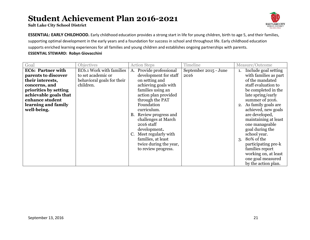**Salt Lake City School District**



**ESSENTIAL: EARLY CHILDHOOD.** Early childhood education provides a strong start in life for young children, birth to age 5, and their families, supporting optimal development in the early years and a foundation for success in school and throughout life. Early childhood education supports enriched learning experiences for all families and young children and establishes ongoing partnerships with parents.

| Goal                     | <b>Objectives</b>          | <b>Action Steps</b>        | Timeline              | Measure/Outcome            |
|--------------------------|----------------------------|----------------------------|-----------------------|----------------------------|
| <b>EC6: Partner with</b> | EC6.1 Work with families   | Provide professional<br>A. | September 2015 - June | Include goal setting<br>1. |
| parents to discover      | to set academic or         | development for staff      | 2016                  | with families as part      |
| their interests,         | behavioral goals for their | on setting and             |                       | of the mandated            |
| concerns, and            | children.                  | achieving goals with       |                       | staff evaluation to        |
| priorities by setting    |                            | families using an          |                       | be completed in the        |
| achievable goals that    |                            | action plan provided       |                       | late spring/early          |
| enhance student          |                            | through the PAT            |                       | summer of 2016.            |
| learning and family      |                            | Foundation                 |                       | 2. As family goals are     |
| well-being.              |                            | curriculum.                |                       | achieved, new goals        |
|                          |                            | Review progress and<br>B.  |                       | are developed,             |
|                          |                            | challenges at March        |                       | maintaining at least       |
|                          |                            | 2016 staff                 |                       | one manageable             |
|                          |                            | development.               |                       | goal during the            |
|                          |                            | Meet regularly with        |                       | school year.               |
|                          |                            | families, at least         |                       | 80% of the<br>3.           |
|                          |                            | twice during the year,     |                       | participating pre-k        |
|                          |                            | to review progress.        |                       | families report            |
|                          |                            |                            |                       | working on, at least       |
|                          |                            |                            |                       | one goal measured          |
|                          |                            |                            |                       | by the action plan.        |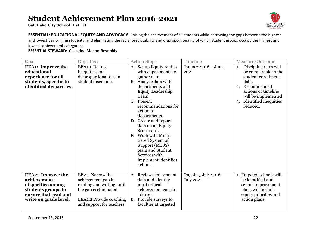**Salt Lake City School District**



**ESSENTIAL: EDUCATIONAL EQUITY AND ADVOCACY**. Raising the achievement of all students while narrowing the gaps between the highest and lowest performing students, and eliminating the racial predictability and disproportionality of which student groups occupy the highest and lowest achievement categories.

#### **ESSENTIAL STEWARD: Claustina Mahon-Reynolds**

| Goal                                                                                                                                | <b>Objectives</b>                                                                                                                                           |                         | <b>Action Steps</b>                                                                                                                                                                                                                                                                                                                                                                                       | Timeline                                |                | Measure/Outcome                                                                                                                                                                 |
|-------------------------------------------------------------------------------------------------------------------------------------|-------------------------------------------------------------------------------------------------------------------------------------------------------------|-------------------------|-----------------------------------------------------------------------------------------------------------------------------------------------------------------------------------------------------------------------------------------------------------------------------------------------------------------------------------------------------------------------------------------------------------|-----------------------------------------|----------------|---------------------------------------------------------------------------------------------------------------------------------------------------------------------------------|
| <b>EEA1:</b> Improve the<br>educational<br>experience for all<br>students, specific to<br>identified disparities.                   | EEA1.1 Reduce<br>inequities and<br>disproportionalities in<br>student discipline.                                                                           | A.<br>$C_{\cdot}$<br>Е. | Set up Equity Audits<br>with departments to<br>gather data.<br>B. Analyze data with<br>departments and<br><b>Equity Leadership</b><br>Team.<br>Present<br>recommendations for<br>action to<br>departments.<br>D. Create and report<br>data on an Equity<br>Score card.<br>Work with Multi-<br>tiered System of<br>Support (MTSS)<br>team and Student<br>Services with<br>implement identifies<br>actions. | January 2016 - June<br>2021             | 1.<br>2.<br>3. | Discipline rates will<br>be comparable to the<br>student enrollment<br>data.<br>Recommended<br>actions or timeline<br>will be implemented.<br>Identified inequities<br>reduced. |
| <b>EEA2: Improve the</b><br>achievement<br>disparities among<br>students groups to<br>ensure that read and<br>write on grade level. | EE2.1 Narrow the<br>achievement gap in<br>reading and writing until<br>the gap is eliminated.<br><b>EEA2.2 Provide coaching</b><br>and support for teachers | <b>B.</b>               | A. Review achievement<br>data and identify<br>most critical<br>achievement gaps to<br>address.<br>Provide surveys to<br>faculties at targeted                                                                                                                                                                                                                                                             | Ongoing, July 2016-<br><b>July 2021</b> |                | 1. Targeted schools will<br>be identified and<br>school improvement<br>plans will include<br>equity priorities and<br>action plans.                                             |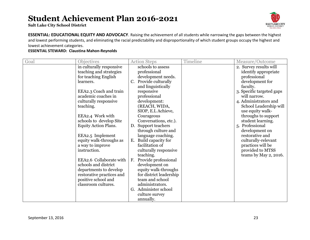**Salt Lake City School District**



**ESSENTIAL: EDUCATIONAL EQUITY AND ADVOCACY**. Raising the achievement of all students while narrowing the gaps between the highest and lowest performing students, and eliminating the racial predictability and disproportionality of which student groups occupy the highest and lowest achievement categories.

#### **ESSENTIAL STEWARD: Claustina Mahon-Reynolds**

| <b>Action Steps</b> | Timeline                                                                                                                                                                                                                                                                                                                                                                                                                                                                                                                                      | Measure/Outcome           |
|---------------------|-----------------------------------------------------------------------------------------------------------------------------------------------------------------------------------------------------------------------------------------------------------------------------------------------------------------------------------------------------------------------------------------------------------------------------------------------------------------------------------------------------------------------------------------------|---------------------------|
| schools to assess   |                                                                                                                                                                                                                                                                                                                                                                                                                                                                                                                                               | 2. Survey results will    |
| professional        |                                                                                                                                                                                                                                                                                                                                                                                                                                                                                                                                               | identify appropriate      |
|                     |                                                                                                                                                                                                                                                                                                                                                                                                                                                                                                                                               | professional              |
| C.                  |                                                                                                                                                                                                                                                                                                                                                                                                                                                                                                                                               | development for           |
|                     |                                                                                                                                                                                                                                                                                                                                                                                                                                                                                                                                               | faculty.                  |
|                     |                                                                                                                                                                                                                                                                                                                                                                                                                                                                                                                                               | 3. Specific targeted gaps |
|                     |                                                                                                                                                                                                                                                                                                                                                                                                                                                                                                                                               | will narrow.              |
|                     |                                                                                                                                                                                                                                                                                                                                                                                                                                                                                                                                               | 4. Administrators and     |
|                     |                                                                                                                                                                                                                                                                                                                                                                                                                                                                                                                                               | School Leadership will    |
|                     |                                                                                                                                                                                                                                                                                                                                                                                                                                                                                                                                               | use equity walk-          |
|                     |                                                                                                                                                                                                                                                                                                                                                                                                                                                                                                                                               | throughs to support       |
|                     |                                                                                                                                                                                                                                                                                                                                                                                                                                                                                                                                               | student learning.         |
|                     |                                                                                                                                                                                                                                                                                                                                                                                                                                                                                                                                               | 5. Professional           |
|                     |                                                                                                                                                                                                                                                                                                                                                                                                                                                                                                                                               | development on            |
|                     |                                                                                                                                                                                                                                                                                                                                                                                                                                                                                                                                               | restorative and           |
|                     |                                                                                                                                                                                                                                                                                                                                                                                                                                                                                                                                               | culturally-relevant       |
|                     |                                                                                                                                                                                                                                                                                                                                                                                                                                                                                                                                               | practices will be         |
|                     |                                                                                                                                                                                                                                                                                                                                                                                                                                                                                                                                               | provided to MTSS          |
|                     |                                                                                                                                                                                                                                                                                                                                                                                                                                                                                                                                               | teams by May 2, 2016.     |
|                     |                                                                                                                                                                                                                                                                                                                                                                                                                                                                                                                                               |                           |
|                     |                                                                                                                                                                                                                                                                                                                                                                                                                                                                                                                                               |                           |
|                     |                                                                                                                                                                                                                                                                                                                                                                                                                                                                                                                                               |                           |
|                     |                                                                                                                                                                                                                                                                                                                                                                                                                                                                                                                                               |                           |
|                     |                                                                                                                                                                                                                                                                                                                                                                                                                                                                                                                                               |                           |
|                     |                                                                                                                                                                                                                                                                                                                                                                                                                                                                                                                                               |                           |
|                     |                                                                                                                                                                                                                                                                                                                                                                                                                                                                                                                                               |                           |
|                     |                                                                                                                                                                                                                                                                                                                                                                                                                                                                                                                                               |                           |
|                     | development needs.<br>Provide culturally<br>and linguistically<br>responsive<br>professional<br>development:<br>(REACH, WIDA,<br>SIOP, E.L Achieve,<br>Courageous<br>Conversations, etc.).<br>D. Support teachers<br>through culture and<br>language coaching.<br>E. Build capacity for<br>facilitation of<br>culturally responsive<br>teaching.<br>F. Provide professional<br>development on<br>equity walk-throughs<br>for district leadership<br>team and school<br>administrators.<br>G. Administer school<br>culture survey<br>annually. |                           |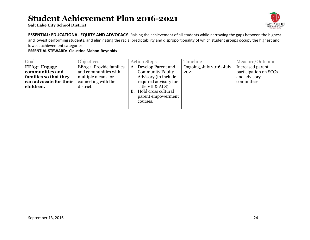**Salt Lake City School District**



**ESSENTIAL: EDUCATIONAL EQUITY AND ADVOCACY**. Raising the achievement of all students while narrowing the gaps between the highest and lowest performing students, and eliminating the racial predictability and disproportionality of which student groups occupy the highest and lowest achievement categories.

#### **ESSENTIAL STEWARD: Claustina Mahon-Reynolds**

| Goal                   | <b>Objectives</b>       |    | <b>Action Steps</b>     | Timeline                 | Measure/Outcome       |
|------------------------|-------------------------|----|-------------------------|--------------------------|-----------------------|
| <b>EEA3: Engage</b>    | EEA3.1 Provide families | А. | Develop Parent and      | Ongoing, July 2016- July | Increased parent      |
| communities and        | and communities with    |    | <b>Community Equity</b> | 2021                     | participation on SCCs |
| families so that they  | multiple means for      |    | Advisory (to include    |                          | and advisory          |
| can advocate for their | connecting with the     |    | required advisory for   |                          | committees.           |
| children.              | district.               |    | Title VII & ALS).       |                          |                       |
|                        |                         | B. | Hold cross cultural     |                          |                       |
|                        |                         |    | parent empowerment      |                          |                       |
|                        |                         |    | courses.                |                          |                       |
|                        |                         |    |                         |                          |                       |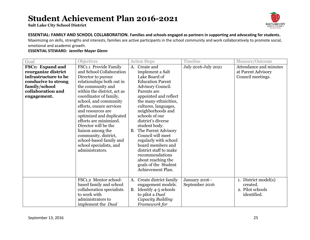**Salt Lake City School District**



#### **ESSENTIAL: FAMILY AND SCHOOL COLLABORATION. Families and schools engaged as partners in supporting and advocating for students.**

Maximizing on skills, strengths and interests, families are active participants in the school community and work collaboratively to promote social, emotional and academic growth.

| Goal                    | Objectives                  |           | <b>Action Steps</b>     | Timeline            | Measure/Outcome        |
|-------------------------|-----------------------------|-----------|-------------------------|---------------------|------------------------|
| <b>FSC1:</b> Expand and | FSC1.1 Provide Family       | A.        | Create and              | July 2016-July 2021 | Attendance and minutes |
| reorganize district     | and School Collaboration    |           | implement a Salt        |                     | at Parent Advisory     |
| infrastructure to be    | Director to pursue          |           | Lake Board of           |                     | Council meetings.      |
| conducive to strong     | relationships both out in   |           | <b>Education Parent</b> |                     |                        |
| family/school           | the community and           |           | Advisory Council.       |                     |                        |
| collaboration and       | within the district, act as |           | Parents are             |                     |                        |
| engagement.             | coordinator of family,      |           | appointed and reflect   |                     |                        |
|                         | school, and community       |           | the many ethnicities,   |                     |                        |
|                         | efforts, ensure services    |           | cultures, languages,    |                     |                        |
|                         | and resources are           |           | neighborhoods and       |                     |                        |
|                         | optimized and duplicated    |           | schools of our          |                     |                        |
|                         | efforts are minimized.      |           | district's diverse      |                     |                        |
|                         | Director will be the        |           | student body.           |                     |                        |
|                         | liaison among the           | <b>B.</b> | The Parent Advisory     |                     |                        |
|                         | community, district,        |           | Council will meet       |                     |                        |
|                         | school-based family and     |           | regularly with school   |                     |                        |
|                         | school specialists, and     |           | board members and       |                     |                        |
|                         | administrators.             |           | district staff to make  |                     |                        |
|                         |                             |           | recommendations         |                     |                        |
|                         |                             |           | about reaching the      |                     |                        |
|                         |                             |           | goals of the Student    |                     |                        |
|                         |                             |           | Achievement Plan.       |                     |                        |
|                         | FSC1.2 Mentor school-       | A.        | Create district family  | January 2016 -      | 1. District model(s)   |
|                         | based family and school     |           | engagement models.      | September 2016      | created.               |
|                         | collaboration specialists   | <b>B.</b> | Identify 4-5 schools    |                     | 2. Pilot schools       |
|                         | to work with                |           | to pilot a <i>Dual</i>  |                     | identified.            |
|                         | administrators to           |           | Capacity Building       |                     |                        |
|                         | implement the Dual          |           | Framework for           |                     |                        |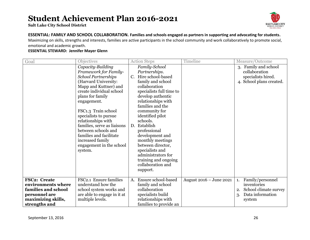**Salt Lake City School District**



#### **ESSENTIAL: FAMILY AND SCHOOL COLLABORATION. Families and schools engaged as partners in supporting and advocating for students.**

Maximizing on skills, strengths and interests, families are active participants in the school community and work collaboratively to promote social, emotional and academic growth.

| Goal                                                                                                              | Objectives                                                                                                                                                                                                                                                                                                                                                                                                 | <b>Action Steps</b>                                                                                                                                                                                                                                                                                                                                                                                                                       | Timeline                | Measure/Outcome                                                                                          |
|-------------------------------------------------------------------------------------------------------------------|------------------------------------------------------------------------------------------------------------------------------------------------------------------------------------------------------------------------------------------------------------------------------------------------------------------------------------------------------------------------------------------------------------|-------------------------------------------------------------------------------------------------------------------------------------------------------------------------------------------------------------------------------------------------------------------------------------------------------------------------------------------------------------------------------------------------------------------------------------------|-------------------------|----------------------------------------------------------------------------------------------------------|
|                                                                                                                   | Capacity-Building<br>Framework for Family-<br><b>School Partnerships</b><br>(Harvard University:<br>Mapp and Kuttner) and<br>create individual school<br>plans for family<br>engagement.<br>FSC1.3 Train school<br>specialists to pursue<br>relationships with<br>families, serve as liaisons<br>between schools and<br>families and facilitate<br>increased family<br>engagement in the school<br>system. | Family-School<br>Partnerships.<br>Hire school-based<br>C.<br>family and school<br>collaboration<br>specialists full time to<br>develop authentic<br>relationships with<br>families and the<br>community for<br>identified pilot<br>schools.<br>D. Establish<br>professional<br>development and<br>monthly meetings<br>between director,<br>specialists and<br>administrators for<br>training and ongoing<br>collaboration and<br>support. |                         | 3. Family and school<br>collaboration<br>specialists hired.<br>4. School plans created.                  |
| FSC2: Create<br>environments where<br>families and school<br>personnel are<br>maximizing skills,<br>strengths and | FSC2.1 Ensure families<br>understand how the<br>school system works and<br>are able to engage in it at<br>multiple levels.                                                                                                                                                                                                                                                                                 | A. Ensure school-based<br>family and school<br>collaboration<br>specialists build<br>relationships with<br>families to provide an                                                                                                                                                                                                                                                                                                         | August 2016 - June 2021 | Family/personnel<br>1.<br>inventories<br>School climate survey<br>2.<br>Data information<br>3.<br>system |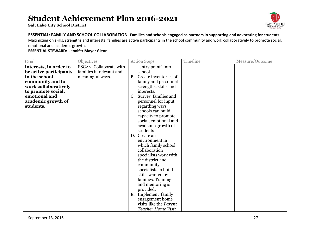**Salt Lake City School District**



#### **ESSENTIAL: FAMILY AND SCHOOL COLLABORATION. Families and schools engaged as partners in supporting and advocating for students.**

Maximizing on skills, strengths and interests, families are active participants in the school community and work collaboratively to promote social, emotional and academic growth.

| Goal                   | <b>Objectives</b>        | <b>Action Steps</b>                   | Timeline | Measure/Outcome |
|------------------------|--------------------------|---------------------------------------|----------|-----------------|
| interests, in order to | FSC2.2 Collaborate with  | "entry point" into                    |          |                 |
| be active participants | families in relevant and | school.                               |          |                 |
| in the school          | meaningful ways.         | Create inventories of<br><b>B.</b>    |          |                 |
| community and to       |                          | family and personnel                  |          |                 |
| work collaboratively   |                          | strengths, skills and                 |          |                 |
| to promote social,     |                          | interests.                            |          |                 |
| emotional and          |                          | Survey families and<br>C.             |          |                 |
| academic growth of     |                          | personnel for input                   |          |                 |
| students.              |                          | regarding ways                        |          |                 |
|                        |                          | schools can build                     |          |                 |
|                        |                          | capacity to promote                   |          |                 |
|                        |                          | social, emotional and                 |          |                 |
|                        |                          | academic growth of                    |          |                 |
|                        |                          | students                              |          |                 |
|                        |                          | D. Create an                          |          |                 |
|                        |                          | environment in<br>which family school |          |                 |
|                        |                          | collaboration                         |          |                 |
|                        |                          | specialists work with                 |          |                 |
|                        |                          | the district and                      |          |                 |
|                        |                          | community                             |          |                 |
|                        |                          | specialists to build                  |          |                 |
|                        |                          | skills wanted by                      |          |                 |
|                        |                          | families. Training                    |          |                 |
|                        |                          | and mentoring is                      |          |                 |
|                        |                          | provided.                             |          |                 |
|                        |                          | Implement family<br>E.                |          |                 |
|                        |                          | engagement home                       |          |                 |
|                        |                          | visits like the Parent                |          |                 |
|                        |                          | Teacher Home Visit                    |          |                 |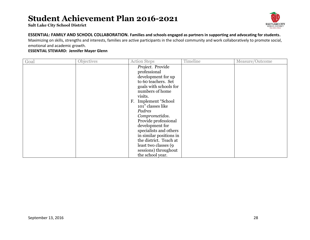**Salt Lake City School District**



#### **ESSENTIAL: FAMILY AND SCHOOL COLLABORATION. Families and schools engaged as partners in supporting and advocating for students.**

Maximizing on skills, strengths and interests, families are active participants in the school community and work collaboratively to promote social, emotional and academic growth.

| Goal | Objectives | <b>Action Steps</b>                                                                                                                                                                                                                                                                                                                                                                                            | Timeline | Measure/Outcome |
|------|------------|----------------------------------------------------------------------------------------------------------------------------------------------------------------------------------------------------------------------------------------------------------------------------------------------------------------------------------------------------------------------------------------------------------------|----------|-----------------|
|      |            | Project. Provide<br>professional<br>development for up<br>to 60 teachers. Set<br>goals with schools for<br>numbers of home<br>visits.<br>F. Implement "School"<br>101" classes like<br>Padres<br>Comprometidos.<br>Provide professional<br>development for<br>specialists and others<br>in similar positions in<br>the district. Teach at<br>least two classes (9)<br>sessions) throughout<br>the school year. |          |                 |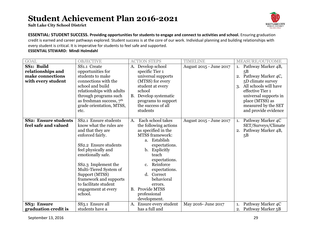**Salt Lake City School District**



**ESSENTIAL: STUDENT SUCCESS. Providing opportunities for students to engage and connect to activities and school.** Ensuring graduation credit is earned and career pathways explored. Student success is at the core of our work. Individual planning and building relationships with every student is critical. It is imperative for students to feel safe and supported.

#### **ESSENTIAL STEWARD: Mindi Holmdahl**

| <b>GOAL</b>                 | <b>OBJECTIVE</b>           | <b>ACTION STEPS</b>                 | <b>TIMELINE</b>         | <b>MEASURE/OUTCOME</b>      |
|-----------------------------|----------------------------|-------------------------------------|-------------------------|-----------------------------|
| SS1: Build                  | SS1.1 Create               | Develop school<br>A.                | August 2015 - June 2017 | Pathway Marker 4B,<br>1.    |
| relationships and           | opportunities for          | specific Tier 1                     |                         | 5B                          |
| make connections            | students to make           | universal supports                  |                         | 2. Pathway Marker 4C,       |
| with every student          | connections with the       | (MTSS) for every                    |                         | 5D climate survey           |
|                             | school and build           | student at every                    |                         | All schools will have<br>3. |
|                             | relationships with adults  | school                              |                         | effective Tier 1            |
|                             | through programs such      | Develop systematic<br><b>B.</b>     |                         | universal supports in       |
|                             | as freshman success, $7th$ | programs to support                 |                         | place (MTSS) as             |
|                             | grade orientation, MTSS,   | the success of all                  |                         | measured by the SET         |
|                             | etc.                       | students                            |                         | and provide evidence        |
|                             |                            |                                     |                         |                             |
| <b>SS2: Ensure students</b> | SS2.1 Ensure students      | Each school takes<br>A.             | August 2015 - June 2017 | Pathway Marker 4C<br>1.     |
| feel safe and valued        | know what the rules are    | the following actions               |                         | SET/Surveys/Climate         |
|                             | and that they are          | as specified in the                 |                         | 2. Pathway Marker 4B,       |
|                             | enforced fairly.           | <b>MTSS</b> framework:              |                         | 5B                          |
|                             | SS2.2 Ensure students      | a. Establish                        |                         |                             |
|                             |                            | expectations.                       |                         |                             |
|                             | feel physically and        | Explicitly<br>b.<br>teach           |                         |                             |
|                             | emotionally safe.          | expectations.                       |                         |                             |
|                             | SS2.3 Implement the        | Reinforce<br>$c_{\cdot}$            |                         |                             |
|                             | Multi-Tiered System of     | expectations.                       |                         |                             |
|                             | Support (MTSS)             | Correct<br>d.                       |                         |                             |
|                             | framework and supports     | behavioral                          |                         |                             |
|                             | to facilitate student      | errors.                             |                         |                             |
|                             | engagement at every        | Provide MTSS<br><b>B.</b>           |                         |                             |
|                             | school.                    | professional                        |                         |                             |
|                             |                            | development.                        |                         |                             |
| SS <sub>3</sub> : Ensure    | SS3.1 Ensure all           | Ensure every student<br>$A_{\cdot}$ | May 2016- June 2017     | Pathway Marker 4C           |
| graduation credit is        | students have a            | has a full and                      |                         | 2. Pathway Marker 5B        |

September 13, 2016 29